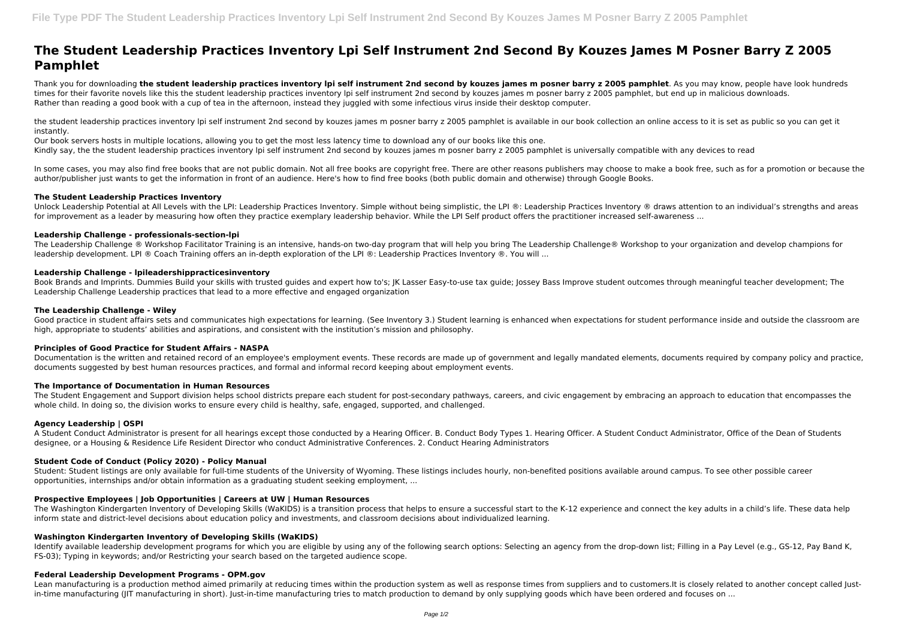# **The Student Leadership Practices Inventory Lpi Self Instrument 2nd Second By Kouzes James M Posner Barry Z 2005 Pamphlet**

Thank you for downloading **the student leadership practices inventory lpi self instrument 2nd second by kouzes james m posner barry z 2005 pamphlet**. As you may know, people have look hundreds times for their favorite novels like this the student leadership practices inventory lpi self instrument 2nd second by kouzes james m posner barry z 2005 pamphlet, but end up in malicious downloads. Rather than reading a good book with a cup of tea in the afternoon, instead they juggled with some infectious virus inside their desktop computer.

the student leadership practices inventory lpi self instrument 2nd second by kouzes james m posner barry z 2005 pamphlet is available in our book collection an online access to it is set as public so you can get it instantly.

Our book servers hosts in multiple locations, allowing you to get the most less latency time to download any of our books like this one.

Kindly say, the the student leadership practices inventory lpi self instrument 2nd second by kouzes james m posner barry z 2005 pamphlet is universally compatible with any devices to read

In some cases, you may also find free books that are not public domain. Not all free books are copyright free. There are other reasons publishers may choose to make a book free, such as for a promotion or because the author/publisher just wants to get the information in front of an audience. Here's how to find free books (both public domain and otherwise) through Google Books.

Good practice in student affairs sets and communicates high expectations for learning. (See Inventory 3.) Student learning is enhanced when expectations for student performance inside and outside the classroom are high, appropriate to students' abilities and aspirations, and consistent with the institution's mission and philosophy.

## **The Student Leadership Practices Inventory**

Unlock Leadership Potential at All Levels with the LPI: Leadership Practices Inventory. Simple without being simplistic, the LPI ®: Leadership Practices Inventory ® draws attention to an individual's strengths and areas for improvement as a leader by measuring how often they practice exemplary leadership behavior. While the LPI Self product offers the practitioner increased self-awareness ...

### **Leadership Challenge - professionals-section-lpi**

The Leadership Challenge ® Workshop Facilitator Training is an intensive, hands-on two-day program that will help you bring The Leadership Challenge® Workshop to your organization and develop champions for leadership development. LPI ® Coach Training offers an in-depth exploration of the LPI ®: Leadership Practices Inventory ®. You will ...

# **Leadership Challenge - lpileadershippracticesinventory**

The Washington Kindergarten Inventory of Developing Skills (WaKIDS) is a transition process that helps to ensure a successful start to the K-12 experience and connect the key adults in a child's life. These data help inform state and district-level decisions about education policy and investments, and classroom decisions about individualized learning.

Book Brands and Imprints. Dummies Build your skills with trusted guides and expert how to's; JK Lasser Easy-to-use tax guide; Jossey Bass Improve student outcomes through meaningful teacher development; The Leadership Challenge Leadership practices that lead to a more effective and engaged organization

Identify available leadership development programs for which you are eligible by using any of the following search options: Selecting an agency from the drop-down list; Filling in a Pay Level (e.g., GS-12, Pay Band K, FS-03); Typing in keywords; and/or Restricting your search based on the targeted audience scope.

### **The Leadership Challenge - Wiley**

### **Principles of Good Practice for Student Affairs - NASPA**

Documentation is the written and retained record of an employee's employment events. These records are made up of government and legally mandated elements, documents required by company policy and practice, documents suggested by best human resources practices, and formal and informal record keeping about employment events.

### **The Importance of Documentation in Human Resources**

The Student Engagement and Support division helps school districts prepare each student for post-secondary pathways, careers, and civic engagement by embracing an approach to education that encompasses the whole child. In doing so, the division works to ensure every child is healthy, safe, engaged, supported, and challenged.

### **Agency Leadership | OSPI**

A Student Conduct Administrator is present for all hearings except those conducted by a Hearing Officer. B. Conduct Body Types 1. Hearing Officer. A Student Conduct Administrator, Office of the Dean of Students designee, or a Housing & Residence Life Resident Director who conduct Administrative Conferences. 2. Conduct Hearing Administrators

### **Student Code of Conduct (Policy 2020) - Policy Manual**

Student: Student listings are only available for full-time students of the University of Wyoming. These listings includes hourly, non-benefited positions available around campus. To see other possible career opportunities, internships and/or obtain information as a graduating student seeking employment, ...

# **Prospective Employees | Job Opportunities | Careers at UW | Human Resources**

### **Washington Kindergarten Inventory of Developing Skills (WaKIDS)**

### **Federal Leadership Development Programs - OPM.gov**

Lean manufacturing is a production method aimed primarily at reducing times within the production system as well as response times from suppliers and to customers.It is closely related to another concept called Justin-time manufacturing (IIT manufacturing in short). Just-in-time manufacturing tries to match production to demand by only supplying goods which have been ordered and focuses on ...